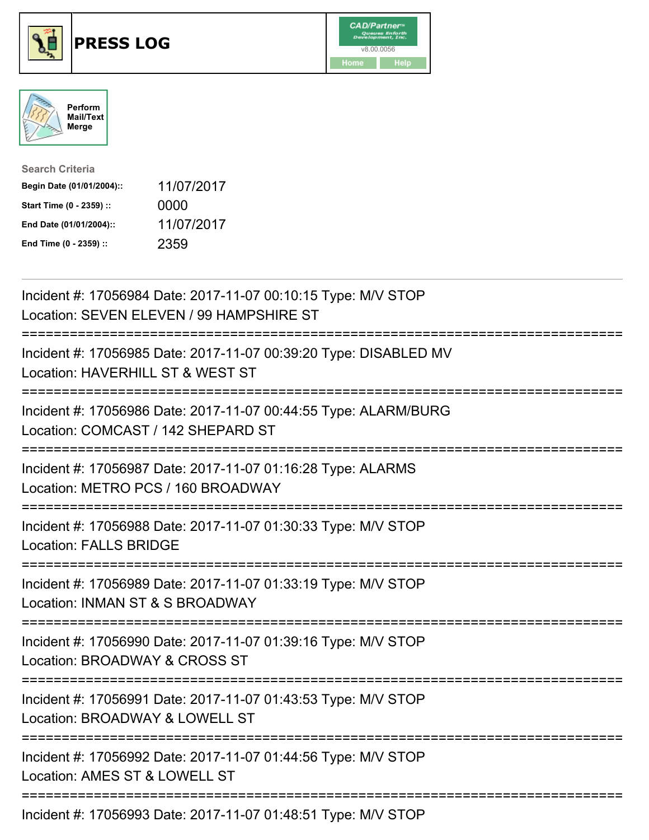





| <b>Search Criteria</b>    |            |
|---------------------------|------------|
| Begin Date (01/01/2004):: | 11/07/2017 |
| Start Time (0 - 2359) ::  | 0000       |
| End Date (01/01/2004)::   | 11/07/2017 |
| End Time (0 - 2359) ::    | 2359       |

| Incident #: 17056984 Date: 2017-11-07 00:10:15 Type: M/V STOP<br>Location: SEVEN ELEVEN / 99 HAMPSHIRE ST                             |
|---------------------------------------------------------------------------------------------------------------------------------------|
| Incident #: 17056985 Date: 2017-11-07 00:39:20 Type: DISABLED MV<br>Location: HAVERHILL ST & WEST ST                                  |
| Incident #: 17056986 Date: 2017-11-07 00:44:55 Type: ALARM/BURG<br>Location: COMCAST / 142 SHEPARD ST                                 |
| Incident #: 17056987 Date: 2017-11-07 01:16:28 Type: ALARMS<br>Location: METRO PCS / 160 BROADWAY                                     |
| Incident #: 17056988 Date: 2017-11-07 01:30:33 Type: M/V STOP<br><b>Location: FALLS BRIDGE</b><br>:================================== |
| Incident #: 17056989 Date: 2017-11-07 01:33:19 Type: M/V STOP<br>Location: INMAN ST & S BROADWAY<br>:========================         |
| Incident #: 17056990 Date: 2017-11-07 01:39:16 Type: M/V STOP<br>Location: BROADWAY & CROSS ST<br>:=======================            |
| Incident #: 17056991 Date: 2017-11-07 01:43:53 Type: M/V STOP<br>Location: BROADWAY & LOWELL ST                                       |
| Incident #: 17056992 Date: 2017-11-07 01:44:56 Type: M/V STOP<br>Location: AMES ST & LOWELL ST                                        |
| Incident #: 17056993 Date: 2017-11-07 01:48:51 Type: M/V STOP                                                                         |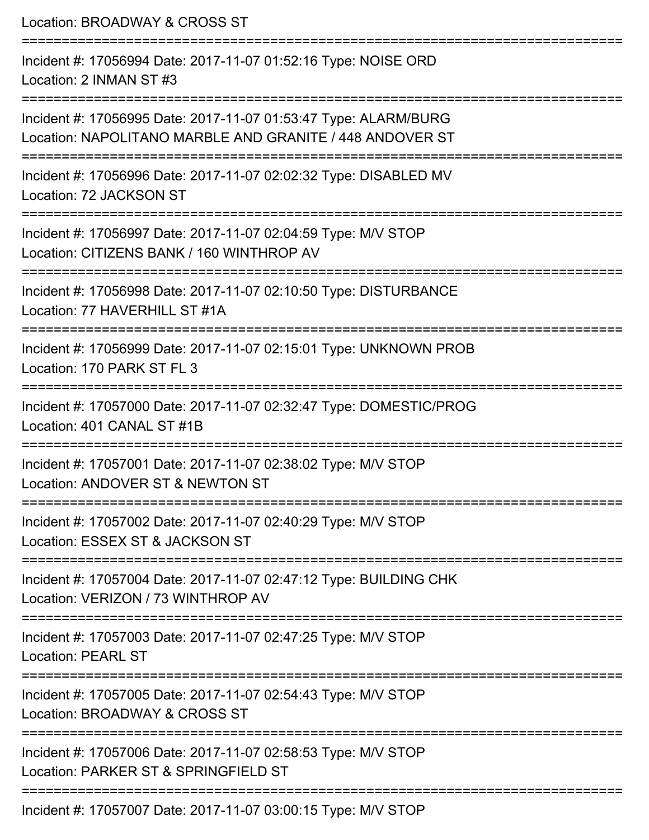| Location: BROADWAY & CROSS ST<br>=========================                                                                                                        |
|-------------------------------------------------------------------------------------------------------------------------------------------------------------------|
| Incident #: 17056994 Date: 2017-11-07 01:52:16 Type: NOISE ORD<br>Location: 2 INMAN ST #3                                                                         |
| Incident #: 17056995 Date: 2017-11-07 01:53:47 Type: ALARM/BURG<br>Location: NAPOLITANO MARBLE AND GRANITE / 448 ANDOVER ST<br>================================== |
| Incident #: 17056996 Date: 2017-11-07 02:02:32 Type: DISABLED MV<br>Location: 72 JACKSON ST                                                                       |
| Incident #: 17056997 Date: 2017-11-07 02:04:59 Type: M/V STOP<br>Location: CITIZENS BANK / 160 WINTHROP AV                                                        |
| Incident #: 17056998 Date: 2017-11-07 02:10:50 Type: DISTURBANCE<br>Location: 77 HAVERHILL ST #1A                                                                 |
| Incident #: 17056999 Date: 2017-11-07 02:15:01 Type: UNKNOWN PROB<br>Location: 170 PARK ST FL 3                                                                   |
| Incident #: 17057000 Date: 2017-11-07 02:32:47 Type: DOMESTIC/PROG<br>Location: 401 CANAL ST #1B                                                                  |
| Incident #: 17057001 Date: 2017-11-07 02:38:02 Type: M/V STOP<br>Location: ANDOVER ST & NEWTON ST                                                                 |
| Incident #: 17057002 Date: 2017-11-07 02:40:29 Type: M/V STOP<br>Location: ESSEX ST & JACKSON ST                                                                  |
| Incident #: 17057004 Date: 2017-11-07 02:47:12 Type: BUILDING CHK<br>Location: VERIZON / 73 WINTHROP AV                                                           |
| Incident #: 17057003 Date: 2017-11-07 02:47:25 Type: M/V STOP<br><b>Location: PEARL ST</b>                                                                        |
| Incident #: 17057005 Date: 2017-11-07 02:54:43 Type: M/V STOP<br>Location: BROADWAY & CROSS ST                                                                    |
| Incident #: 17057006 Date: 2017-11-07 02:58:53 Type: M/V STOP<br>Location: PARKER ST & SPRINGFIELD ST                                                             |
| Incident #: 17057007 Date: 2017-11-07 03:00:15 Type: M/V STOP                                                                                                     |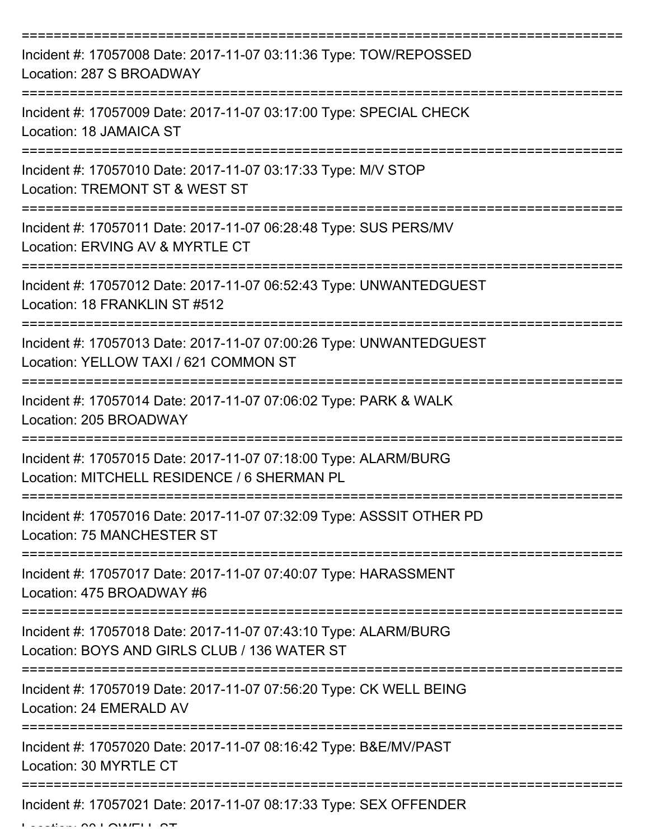| Incident #: 17057008 Date: 2017-11-07 03:11:36 Type: TOW/REPOSSED<br>Location: 287 S BROADWAY                   |
|-----------------------------------------------------------------------------------------------------------------|
| Incident #: 17057009 Date: 2017-11-07 03:17:00 Type: SPECIAL CHECK<br>Location: 18 JAMAICA ST                   |
| Incident #: 17057010 Date: 2017-11-07 03:17:33 Type: M/V STOP<br>Location: TREMONT ST & WEST ST                 |
| Incident #: 17057011 Date: 2017-11-07 06:28:48 Type: SUS PERS/MV<br>Location: ERVING AV & MYRTLE CT             |
| Incident #: 17057012 Date: 2017-11-07 06:52:43 Type: UNWANTEDGUEST<br>Location: 18 FRANKLIN ST #512             |
| Incident #: 17057013 Date: 2017-11-07 07:00:26 Type: UNWANTEDGUEST<br>Location: YELLOW TAXI / 621 COMMON ST     |
| Incident #: 17057014 Date: 2017-11-07 07:06:02 Type: PARK & WALK<br>Location: 205 BROADWAY                      |
| Incident #: 17057015 Date: 2017-11-07 07:18:00 Type: ALARM/BURG<br>Location: MITCHELL RESIDENCE / 6 SHERMAN PL  |
| Incident #: 17057016 Date: 2017-11-07 07:32:09 Type: ASSSIT OTHER PD<br>Location: 75 MANCHESTER ST              |
| Incident #: 17057017 Date: 2017-11-07 07:40:07 Type: HARASSMENT<br>Location: 475 BROADWAY #6                    |
| Incident #: 17057018 Date: 2017-11-07 07:43:10 Type: ALARM/BURG<br>Location: BOYS AND GIRLS CLUB / 136 WATER ST |
| Incident #: 17057019 Date: 2017-11-07 07:56:20 Type: CK WELL BEING<br>Location: 24 EMERALD AV                   |
| Incident #: 17057020 Date: 2017-11-07 08:16:42 Type: B&E/MV/PAST<br>Location: 30 MYRTLE CT                      |
| Incident #: 17057021 Date: 2017-11-07 08:17:33 Type: SEX OFFENDER                                               |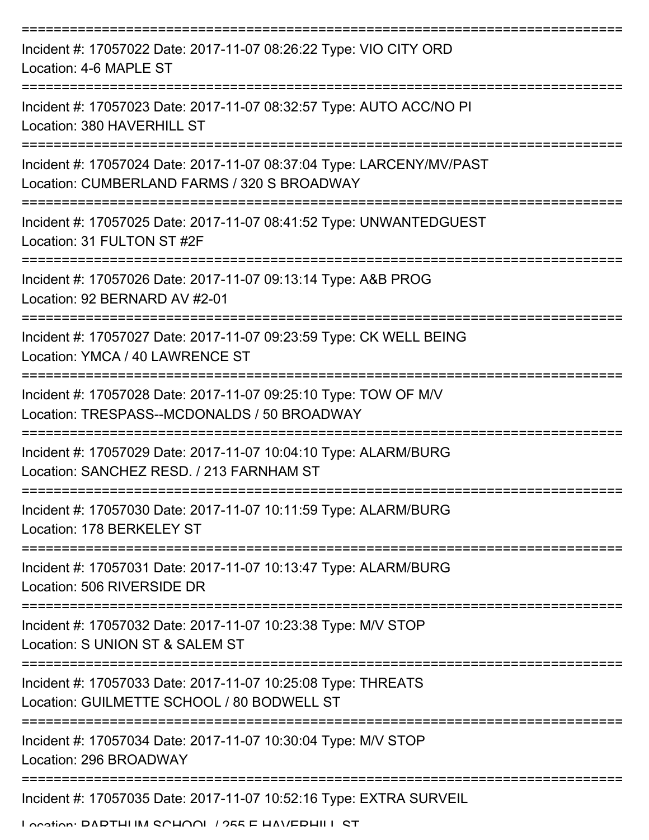| Incident #: 17057022 Date: 2017-11-07 08:26:22 Type: VIO CITY ORD<br>Location: 4-6 MAPLE ST                         |
|---------------------------------------------------------------------------------------------------------------------|
| Incident #: 17057023 Date: 2017-11-07 08:32:57 Type: AUTO ACC/NO PI<br>Location: 380 HAVERHILL ST                   |
| Incident #: 17057024 Date: 2017-11-07 08:37:04 Type: LARCENY/MV/PAST<br>Location: CUMBERLAND FARMS / 320 S BROADWAY |
| Incident #: 17057025 Date: 2017-11-07 08:41:52 Type: UNWANTEDGUEST<br>Location: 31 FULTON ST #2F                    |
| Incident #: 17057026 Date: 2017-11-07 09:13:14 Type: A&B PROG<br>Location: 92 BERNARD AV #2-01                      |
| Incident #: 17057027 Date: 2017-11-07 09:23:59 Type: CK WELL BEING<br>Location: YMCA / 40 LAWRENCE ST               |
| Incident #: 17057028 Date: 2017-11-07 09:25:10 Type: TOW OF M/V<br>Location: TRESPASS--MCDONALDS / 50 BROADWAY      |
| Incident #: 17057029 Date: 2017-11-07 10:04:10 Type: ALARM/BURG<br>Location: SANCHEZ RESD, / 213 FARNHAM ST         |
| Incident #: 17057030 Date: 2017-11-07 10:11:59 Type: ALARM/BURG<br>Location: 178 BERKELEY ST                        |
| Incident #: 17057031 Date: 2017-11-07 10:13:47 Type: ALARM/BURG<br>Location: 506 RIVERSIDE DR                       |
| Incident #: 17057032 Date: 2017-11-07 10:23:38 Type: M/V STOP<br>Location: S UNION ST & SALEM ST                    |
| Incident #: 17057033 Date: 2017-11-07 10:25:08 Type: THREATS<br>Location: GUILMETTE SCHOOL / 80 BODWELL ST          |
| Incident #: 17057034 Date: 2017-11-07 10:30:04 Type: M/V STOP<br>Location: 296 BROADWAY                             |
| Incident #: 17057035 Date: 2017-11-07 10:52:16 Type: EXTRA SURVEIL                                                  |

Location: DADTHUM SCHOOL / 255 E HAVEDHILL ST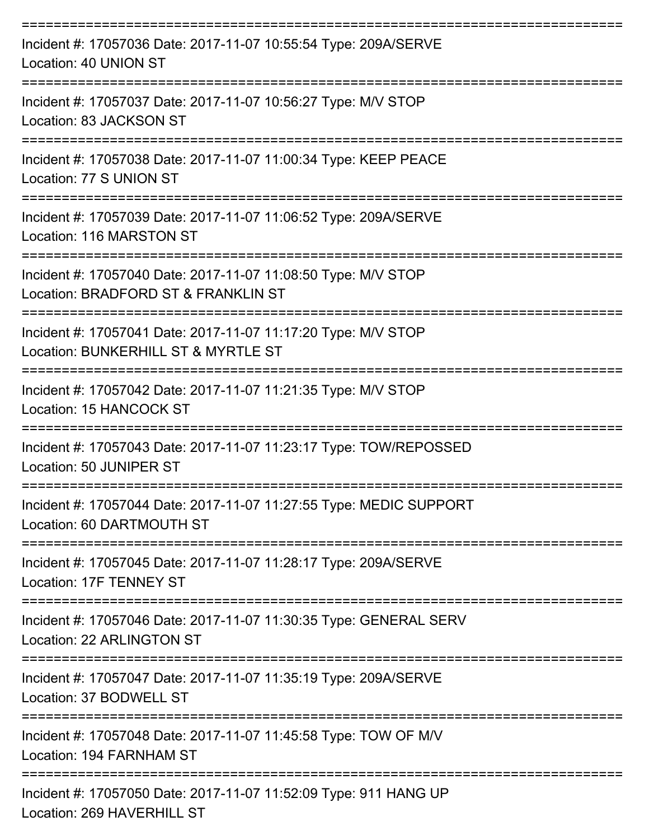| Incident #: 17057036 Date: 2017-11-07 10:55:54 Type: 209A/SERVE<br>Location: 40 UNION ST             |
|------------------------------------------------------------------------------------------------------|
| Incident #: 17057037 Date: 2017-11-07 10:56:27 Type: M/V STOP<br>Location: 83 JACKSON ST             |
| Incident #: 17057038 Date: 2017-11-07 11:00:34 Type: KEEP PEACE<br>Location: 77 S UNION ST           |
| Incident #: 17057039 Date: 2017-11-07 11:06:52 Type: 209A/SERVE<br>Location: 116 MARSTON ST          |
| Incident #: 17057040 Date: 2017-11-07 11:08:50 Type: M/V STOP<br>Location: BRADFORD ST & FRANKLIN ST |
| Incident #: 17057041 Date: 2017-11-07 11:17:20 Type: M/V STOP<br>Location: BUNKERHILL ST & MYRTLE ST |
| Incident #: 17057042 Date: 2017-11-07 11:21:35 Type: M/V STOP<br>Location: 15 HANCOCK ST             |
| Incident #: 17057043 Date: 2017-11-07 11:23:17 Type: TOW/REPOSSED<br>Location: 50 JUNIPER ST         |
| Incident #: 17057044 Date: 2017-11-07 11:27:55 Type: MEDIC SUPPORT<br>Location: 60 DARTMOUTH ST      |
| Incident #: 17057045 Date: 2017-11-07 11:28:17 Type: 209A/SERVE<br><b>Location: 17F TENNEY ST</b>    |
| Incident #: 17057046 Date: 2017-11-07 11:30:35 Type: GENERAL SERV<br>Location: 22 ARLINGTON ST       |
| Incident #: 17057047 Date: 2017-11-07 11:35:19 Type: 209A/SERVE<br>Location: 37 BODWELL ST           |
| Incident #: 17057048 Date: 2017-11-07 11:45:58 Type: TOW OF M/V<br>Location: 194 FARNHAM ST          |
| Incident #: 17057050 Date: 2017-11-07 11:52:09 Type: 911 HANG UP<br>Location: 269 HAVERHILL ST       |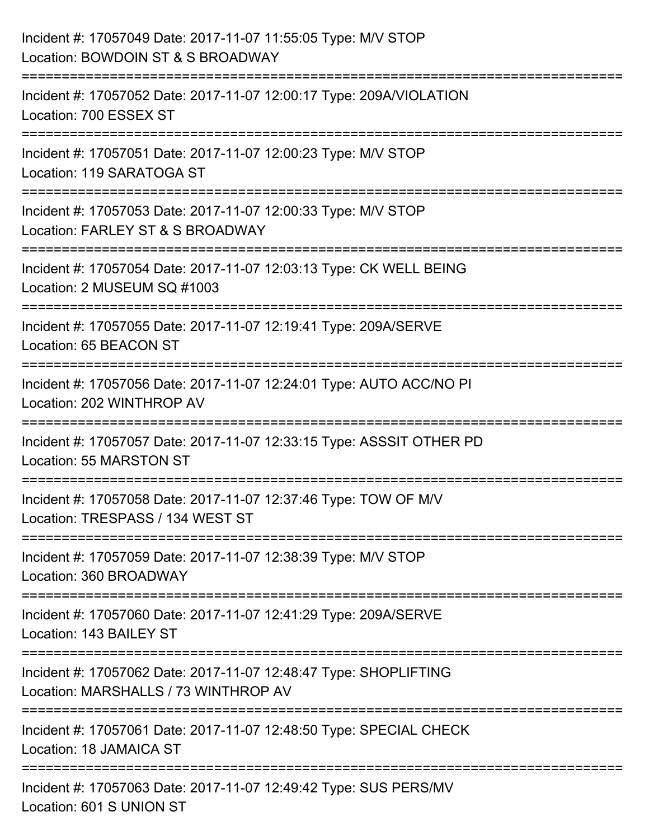| Incident #: 17057049 Date: 2017-11-07 11:55:05 Type: M/V STOP<br>Location: BOWDOIN ST & S BROADWAY                            |
|-------------------------------------------------------------------------------------------------------------------------------|
| Incident #: 17057052 Date: 2017-11-07 12:00:17 Type: 209A/VIOLATION<br>Location: 700 ESSEX ST                                 |
| Incident #: 17057051 Date: 2017-11-07 12:00:23 Type: M/V STOP<br>Location: 119 SARATOGA ST<br>=============================== |
| Incident #: 17057053 Date: 2017-11-07 12:00:33 Type: M/V STOP<br>Location: FARLEY ST & S BROADWAY                             |
| Incident #: 17057054 Date: 2017-11-07 12:03:13 Type: CK WELL BEING<br>Location: 2 MUSEUM SQ #1003                             |
| Incident #: 17057055 Date: 2017-11-07 12:19:41 Type: 209A/SERVE<br>Location: 65 BEACON ST                                     |
| Incident #: 17057056 Date: 2017-11-07 12:24:01 Type: AUTO ACC/NO PI<br>Location: 202 WINTHROP AV                              |
| Incident #: 17057057 Date: 2017-11-07 12:33:15 Type: ASSSIT OTHER PD<br>Location: 55 MARSTON ST                               |
| Incident #: 17057058 Date: 2017-11-07 12:37:46 Type: TOW OF M/V<br>Location: TRESPASS / 134 WEST ST                           |
| Incident #: 17057059 Date: 2017-11-07 12:38:39 Type: M/V STOP<br>Location: 360 BROADWAY                                       |
| Incident #: 17057060 Date: 2017-11-07 12:41:29 Type: 209A/SERVE<br>Location: 143 BAILEY ST                                    |
| Incident #: 17057062 Date: 2017-11-07 12:48:47 Type: SHOPLIFTING<br>Location: MARSHALLS / 73 WINTHROP AV                      |
| Incident #: 17057061 Date: 2017-11-07 12:48:50 Type: SPECIAL CHECK<br>Location: 18 JAMAICA ST                                 |
| Incident #: 17057063 Date: 2017-11-07 12:49:42 Type: SUS PERS/MV<br>Location: 601 S UNION ST                                  |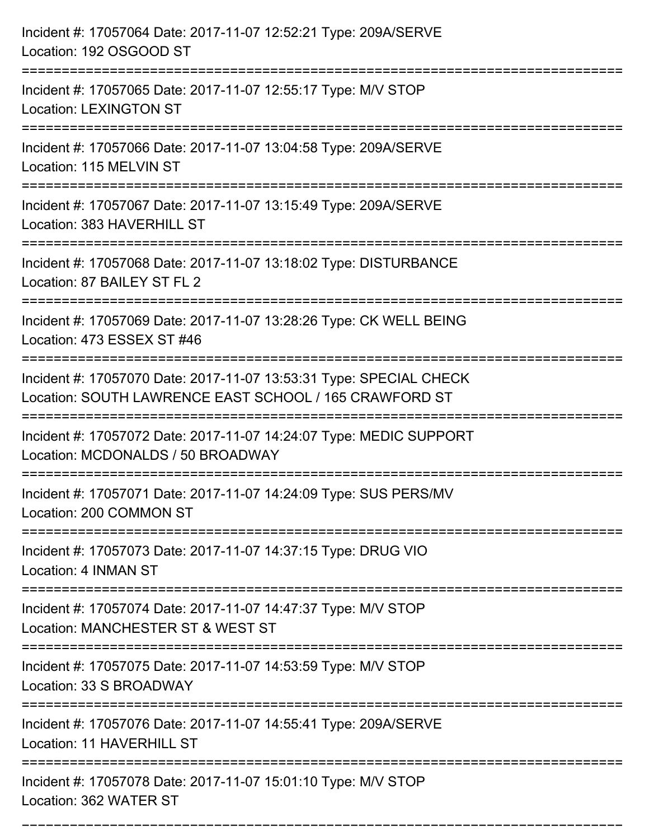| Incident #: 17057064 Date: 2017-11-07 12:52:21 Type: 209A/SERVE<br>Location: 192 OSGOOD ST                                   |
|------------------------------------------------------------------------------------------------------------------------------|
| Incident #: 17057065 Date: 2017-11-07 12:55:17 Type: M/V STOP<br><b>Location: LEXINGTON ST</b>                               |
| Incident #: 17057066 Date: 2017-11-07 13:04:58 Type: 209A/SERVE<br>Location: 115 MELVIN ST                                   |
| Incident #: 17057067 Date: 2017-11-07 13:15:49 Type: 209A/SERVE<br>Location: 383 HAVERHILL ST                                |
| Incident #: 17057068 Date: 2017-11-07 13:18:02 Type: DISTURBANCE<br>Location: 87 BAILEY ST FL 2                              |
| Incident #: 17057069 Date: 2017-11-07 13:28:26 Type: CK WELL BEING<br>Location: 473 ESSEX ST #46                             |
| Incident #: 17057070 Date: 2017-11-07 13:53:31 Type: SPECIAL CHECK<br>Location: SOUTH LAWRENCE EAST SCHOOL / 165 CRAWFORD ST |
| Incident #: 17057072 Date: 2017-11-07 14:24:07 Type: MEDIC SUPPORT<br>Location: MCDONALDS / 50 BROADWAY                      |
| Incident #: 17057071 Date: 2017-11-07 14:24:09 Type: SUS PERS/MV<br>Location: 200 COMMON ST<br>=================             |
| Incident #: 17057073 Date: 2017-11-07 14:37:15 Type: DRUG VIO<br>Location: 4 INMAN ST                                        |
| Incident #: 17057074 Date: 2017-11-07 14:47:37 Type: M/V STOP<br>Location: MANCHESTER ST & WEST ST                           |
| Incident #: 17057075 Date: 2017-11-07 14:53:59 Type: M/V STOP<br>Location: 33 S BROADWAY                                     |
| Incident #: 17057076 Date: 2017-11-07 14:55:41 Type: 209A/SERVE<br>Location: 11 HAVERHILL ST                                 |
| Incident #: 17057078 Date: 2017-11-07 15:01:10 Type: M/V STOP<br>Location: 362 WATER ST                                      |

===========================================================================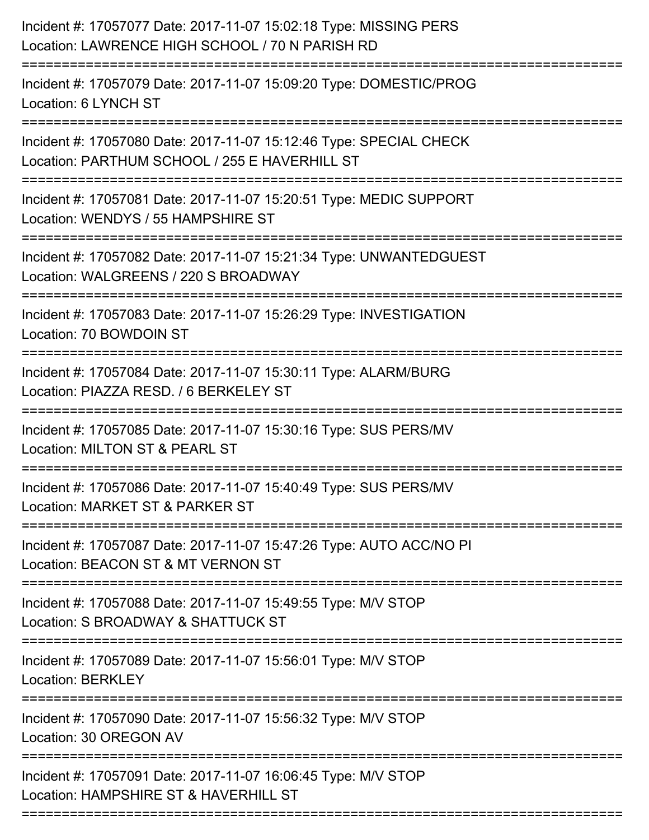| Incident #: 17057077 Date: 2017-11-07 15:02:18 Type: MISSING PERS<br>Location: LAWRENCE HIGH SCHOOL / 70 N PARISH RD                         |
|----------------------------------------------------------------------------------------------------------------------------------------------|
| Incident #: 17057079 Date: 2017-11-07 15:09:20 Type: DOMESTIC/PROG<br>Location: 6 LYNCH ST                                                   |
| Incident #: 17057080 Date: 2017-11-07 15:12:46 Type: SPECIAL CHECK<br>Location: PARTHUM SCHOOL / 255 E HAVERHILL ST<br>.==================== |
| Incident #: 17057081 Date: 2017-11-07 15:20:51 Type: MEDIC SUPPORT<br>Location: WENDYS / 55 HAMPSHIRE ST                                     |
| Incident #: 17057082 Date: 2017-11-07 15:21:34 Type: UNWANTEDGUEST<br>Location: WALGREENS / 220 S BROADWAY                                   |
| Incident #: 17057083 Date: 2017-11-07 15:26:29 Type: INVESTIGATION<br>Location: 70 BOWDOIN ST                                                |
| Incident #: 17057084 Date: 2017-11-07 15:30:11 Type: ALARM/BURG<br>Location: PIAZZA RESD. / 6 BERKELEY ST                                    |
| Incident #: 17057085 Date: 2017-11-07 15:30:16 Type: SUS PERS/MV<br>Location: MILTON ST & PEARL ST                                           |
| Incident #: 17057086 Date: 2017-11-07 15:40:49 Type: SUS PERS/MV<br>Location: MARKET ST & PARKER ST                                          |
| Incident #: 17057087 Date: 2017-11-07 15:47:26 Type: AUTO ACC/NO PI<br>Location: BEACON ST & MT VERNON ST                                    |
| Incident #: 17057088 Date: 2017-11-07 15:49:55 Type: M/V STOP<br>Location: S BROADWAY & SHATTUCK ST                                          |
| Incident #: 17057089 Date: 2017-11-07 15:56:01 Type: M/V STOP<br>Location: BERKLEY                                                           |
| Incident #: 17057090 Date: 2017-11-07 15:56:32 Type: M/V STOP<br>Location: 30 OREGON AV                                                      |
| Incident #: 17057091 Date: 2017-11-07 16:06:45 Type: M/V STOP<br>Location: HAMPSHIRE ST & HAVERHILL ST                                       |
|                                                                                                                                              |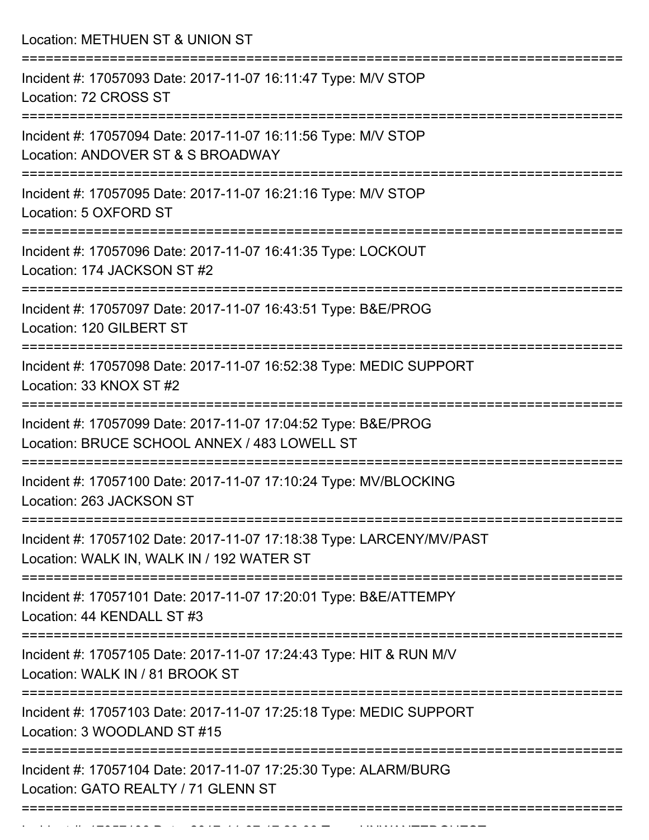Location: METHUEN ST & UNION ST

| Incident #: 17057093 Date: 2017-11-07 16:11:47 Type: M/V STOP<br>Location: 72 CROSS ST                                 |
|------------------------------------------------------------------------------------------------------------------------|
| Incident #: 17057094 Date: 2017-11-07 16:11:56 Type: M/V STOP<br>Location: ANDOVER ST & S BROADWAY                     |
| Incident #: 17057095 Date: 2017-11-07 16:21:16 Type: M/V STOP<br>Location: 5 OXFORD ST                                 |
| Incident #: 17057096 Date: 2017-11-07 16:41:35 Type: LOCKOUT<br>Location: 174 JACKSON ST #2                            |
| Incident #: 17057097 Date: 2017-11-07 16:43:51 Type: B&E/PROG<br>Location: 120 GILBERT ST                              |
| Incident #: 17057098 Date: 2017-11-07 16:52:38 Type: MEDIC SUPPORT<br>Location: 33 KNOX ST #2<br>--------------------- |
| Incident #: 17057099 Date: 2017-11-07 17:04:52 Type: B&E/PROG<br>Location: BRUCE SCHOOL ANNEX / 483 LOWELL ST          |
| Incident #: 17057100 Date: 2017-11-07 17:10:24 Type: MV/BLOCKING<br>Location: 263 JACKSON ST                           |
| Incident #: 17057102 Date: 2017-11-07 17:18:38 Type: LARCENY/MV/PAST<br>Location: WALK IN, WALK IN / 192 WATER ST      |
| Incident #: 17057101 Date: 2017-11-07 17:20:01 Type: B&E/ATTEMPY<br>Location: 44 KENDALL ST #3                         |
| Incident #: 17057105 Date: 2017-11-07 17:24:43 Type: HIT & RUN M/V<br>Location: WALK IN / 81 BROOK ST                  |
| Incident #: 17057103 Date: 2017-11-07 17:25:18 Type: MEDIC SUPPORT<br>Location: 3 WOODLAND ST #15                      |
| Incident #: 17057104 Date: 2017-11-07 17:25:30 Type: ALARM/BURG<br>Location: GATO REALTY / 71 GLENN ST                 |
|                                                                                                                        |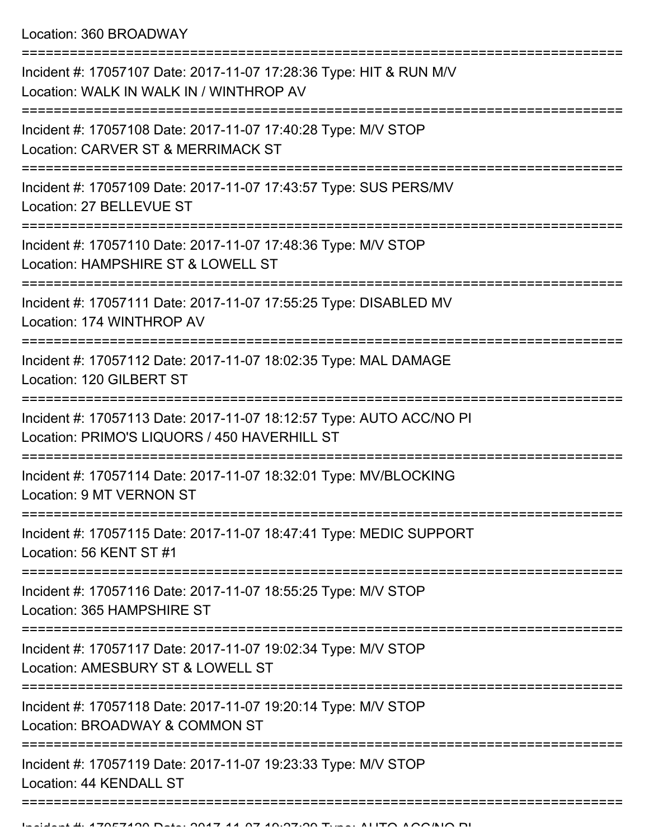Location: 360 BROADWAY

| Incident #: 17057107 Date: 2017-11-07 17:28:36 Type: HIT & RUN M/V<br>Location: WALK IN WALK IN / WINTHROP AV       |
|---------------------------------------------------------------------------------------------------------------------|
| Incident #: 17057108 Date: 2017-11-07 17:40:28 Type: M/V STOP<br>Location: CARVER ST & MERRIMACK ST                 |
| Incident #: 17057109 Date: 2017-11-07 17:43:57 Type: SUS PERS/MV<br>Location: 27 BELLEVUE ST                        |
| Incident #: 17057110 Date: 2017-11-07 17:48:36 Type: M/V STOP<br>Location: HAMPSHIRE ST & LOWELL ST                 |
| Incident #: 17057111 Date: 2017-11-07 17:55:25 Type: DISABLED MV<br>Location: 174 WINTHROP AV                       |
| Incident #: 17057112 Date: 2017-11-07 18:02:35 Type: MAL DAMAGE<br>Location: 120 GILBERT ST                         |
| Incident #: 17057113 Date: 2017-11-07 18:12:57 Type: AUTO ACC/NO PI<br>Location: PRIMO'S LIQUORS / 450 HAVERHILL ST |
| Incident #: 17057114 Date: 2017-11-07 18:32:01 Type: MV/BLOCKING<br>Location: 9 MT VERNON ST                        |
| Incident #: 17057115 Date: 2017-11-07 18:47:41 Type: MEDIC SUPPORT<br>Location: 56 KENT ST #1                       |
| Incident #: 17057116 Date: 2017-11-07 18:55:25 Type: M/V STOP<br>Location: 365 HAMPSHIRE ST                         |
| Incident #: 17057117 Date: 2017-11-07 19:02:34 Type: M/V STOP<br>Location: AMESBURY ST & LOWELL ST                  |
| Incident #: 17057118 Date: 2017-11-07 19:20:14 Type: M/V STOP<br>Location: BROADWAY & COMMON ST                     |
| Incident #: 17057119 Date: 2017-11-07 19:23:33 Type: M/V STOP<br>Location: 44 KENDALL ST                            |
|                                                                                                                     |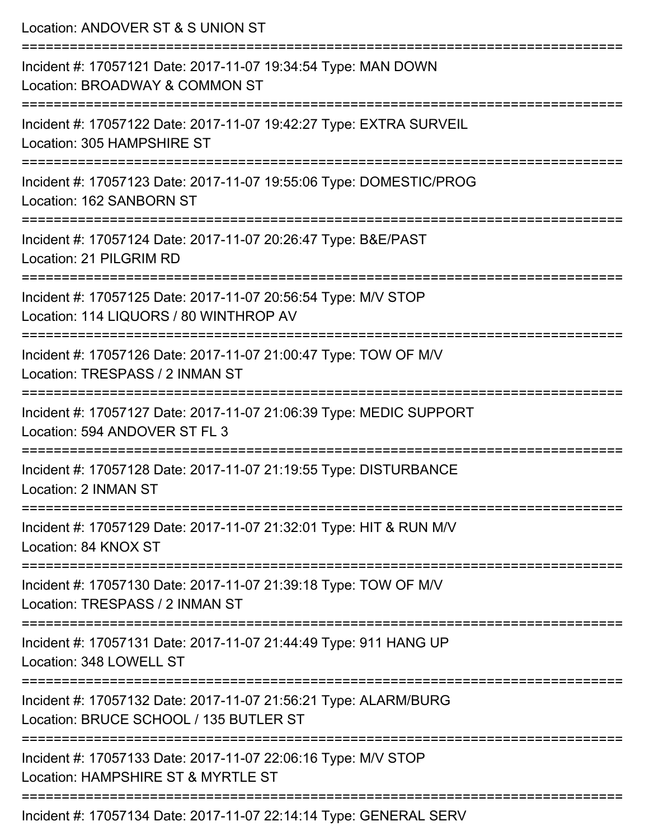| Location: ANDOVER ST & S UNION ST                                                                                                   |
|-------------------------------------------------------------------------------------------------------------------------------------|
| Incident #: 17057121 Date: 2017-11-07 19:34:54 Type: MAN DOWN<br>Location: BROADWAY & COMMON ST<br>===========================      |
| Incident #: 17057122 Date: 2017-11-07 19:42:27 Type: EXTRA SURVEIL<br>Location: 305 HAMPSHIRE ST                                    |
| Incident #: 17057123 Date: 2017-11-07 19:55:06 Type: DOMESTIC/PROG<br>Location: 162 SANBORN ST<br>:===========================      |
| Incident #: 17057124 Date: 2017-11-07 20:26:47 Type: B&E/PAST<br>Location: 21 PILGRIM RD                                            |
| Incident #: 17057125 Date: 2017-11-07 20:56:54 Type: M/V STOP<br>Location: 114 LIQUORS / 80 WINTHROP AV<br>======================   |
| Incident #: 17057126 Date: 2017-11-07 21:00:47 Type: TOW OF M/V<br>Location: TRESPASS / 2 INMAN ST<br>.====================         |
| Incident #: 17057127 Date: 2017-11-07 21:06:39 Type: MEDIC SUPPORT<br>Location: 594 ANDOVER ST FL 3                                 |
| Incident #: 17057128 Date: 2017-11-07 21:19:55 Type: DISTURBANCE<br>Location: 2 INMAN ST                                            |
| Incident #: 17057129 Date: 2017-11-07 21:32:01 Type: HIT & RUN M/V<br>Location: 84 KNOX ST                                          |
| Incident #: 17057130 Date: 2017-11-07 21:39:18 Type: TOW OF M/V<br>Location: TRESPASS / 2 INMAN ST                                  |
| ---------------------------------<br>Incident #: 17057131 Date: 2017-11-07 21:44:49 Type: 911 HANG UP<br>Location: 348 LOWELL ST    |
| :=====================<br>Incident #: 17057132 Date: 2017-11-07 21:56:21 Type: ALARM/BURG<br>Location: BRUCE SCHOOL / 135 BUTLER ST |
| Incident #: 17057133 Date: 2017-11-07 22:06:16 Type: M/V STOP<br>Location: HAMPSHIRE ST & MYRTLE ST                                 |
| Incident #: 17057134 Date: 2017-11-07 22:14:14 Type: GENERAL SERV                                                                   |